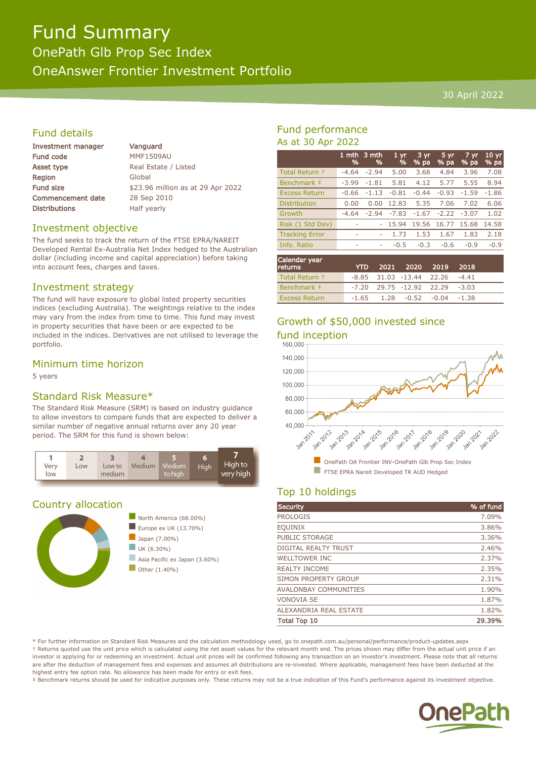# Fund Summary OnePath Glb Prop Sec Index OneAnswer Frontier Investment Portfolio

#### 30 April 2022

# Fund details

| <b>Investment manager</b> |  |
|---------------------------|--|
| <b>Fund code</b>          |  |
| Asset type                |  |
| Region                    |  |
| <b>Fund size</b>          |  |
| <b>Commencement date</b>  |  |
| <b>Distributions</b>      |  |

Vanguard **MMF1509AU** Real Estate / Listed Global \$23.96 million as at 29 Apr 2022 28 Sep 2010 Half yearly

#### Investment objective

The fund seeks to track the return of the FTSE EPRA/NAREIT Developed Rental Ex-Australia Net Index hedged to the Australian dollar (including income and capital appreciation) before taking into account fees, charges and taxes.

#### Investment strategy

The fund will have exposure to global listed property securities indices (excluding Australia). The weightings relative to the index may vary from the index from time to time. This fund may invest in property securities that have been or are expected to be included in the indices. Derivatives are not utilised to leverage the portfolio.

### Minimum time horizon

5 years

#### Standard Risk Measure\*

The Standard Risk Measure (SRM) is based on industry guidance to allow investors to compare funds that are expected to deliver a similar number of negative annual returns over any 20 year period. The SRM for this fund is shown below:



#### Country allocation



# Fund performance As at 30 Apr 2022

|                       | 1 mth<br>% | 3 mth<br>% | $1 \, \text{yr}$<br>% | $3 \,\mathrm{yr}$<br>% pa | 5 yr<br>% pa | 7 yr<br>$%$ pa | 10 <sub>yr</sub><br>% pa |
|-----------------------|------------|------------|-----------------------|---------------------------|--------------|----------------|--------------------------|
| Total Return +        | $-4.64$    | $-2.94$    | 5.00                  | 3.68                      | 4.84         | 3.96           | 7.08                     |
| Benchmark ‡           | $-3.99$    | $-1.81$    | 5.81                  | 4.12                      | 5.77         | 5.55           | 8.94                     |
| <b>Excess Return</b>  | $-0.66$    | $-1.13$    | $-0.81$               | $-0.44$                   | $-0.93$      | $-1.59$        | $-1.86$                  |
| <b>Distribution</b>   | 0.00       | 0.00       | 12.83                 | 5.35                      | 7.06         | 7.02           | 6.06                     |
| Growth                | $-4.64$    | $-2.94$    | $-7.83$               | $-1.67$                   | $-2.22$      | $-3.07$        | 1.02                     |
| Risk (1 Std Dev)      |            |            | 15.94                 | 19.56                     | 16.77        | 15.68          | 14.58                    |
| <b>Tracking Error</b> | ۰          | ۰          | 1.73                  | 1.53                      | 1.67         | 1.83           | 2.18                     |
| Info. Ratio           | ۰          | ٠          | $-0.5$                | $-0.3$                    | $-0.6$       | $-0.9$         | $-0.9$                   |
|                       |            |            |                       |                           |              |                |                          |

| Calendar year<br><b>returns</b> | <b>YTD</b> | 2021 2020 2019 2018                  |  |  |
|---------------------------------|------------|--------------------------------------|--|--|
| Total Return +                  |            | $-8.85$ 31.03 $-13.44$ 22.26 $-4.41$ |  |  |
| Benchmark $\pm$                 |            | $-7.20$ 29.75 $-12.92$ 22.29 $-3.03$ |  |  |
| <b>Excess Return</b>            |            | $-1.65$ 1.28 $-0.52$ $-0.04$ $-1.38$ |  |  |

# Growth of \$50,000 invested since



# Top 10 holdings

| Security                      | % of fund |
|-------------------------------|-----------|
| <b>PROLOGIS</b>               | 7.09%     |
| <b>EOUINIX</b>                | 3.86%     |
| PUBLIC STORAGE                | 3.36%     |
| DIGITAL REALTY TRUST          | 2.46%     |
| <b>WELLTOWER INC</b>          | 2.37%     |
| <b>REALTY INCOME</b>          | 2.35%     |
| SIMON PROPERTY GROUP          | 2.31%     |
| <b>AVALONBAY COMMUNITIES</b>  | 1.90%     |
| <b>VONOVIA SE</b>             | 1.87%     |
| <b>ALEXANDRIA REAL ESTATE</b> | 1.82%     |
| <b>Total Top 10</b>           | 29.39%    |

\* For further information on Standard Risk Measures and the calculation methodology used, go to onepath.com.au/personal/performance/product-updates.aspx † Returns quoted use the unit price which is calculated using the net asset values for the relevant month end. The prices shown may differ from the actual unit price if an investor is applying for or redeeming an investment. Actual unit prices will be confirmed following any transaction on an investor's investment. Please note that all returns are after the deduction of management fees and expenses and assumes all distributions are re-invested. Where applicable, management fees have been deducted at the highest entry fee option rate. No allowance has been made for entry or exit fees.

‡ Benchmark returns should be used for indicative purposes only. These returns may not be a true indication of this Fund's performance against its investment objective.